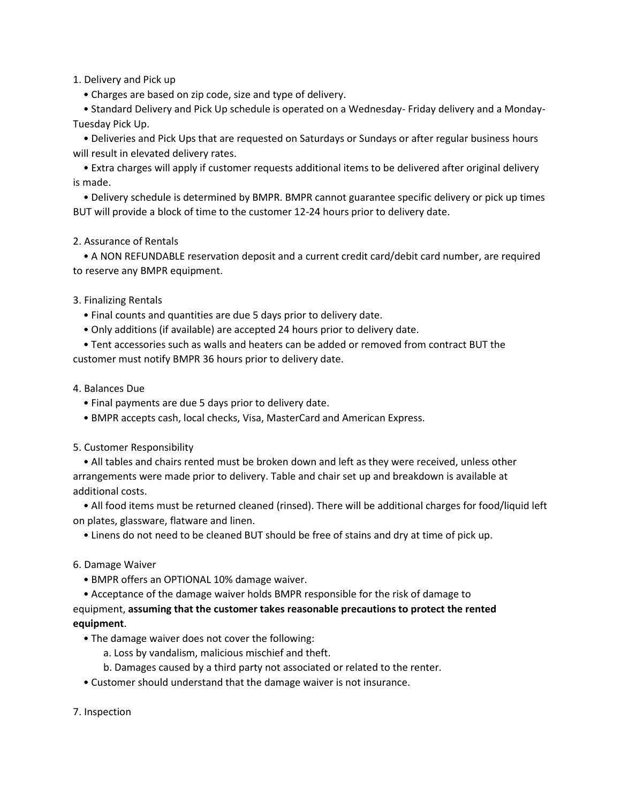1. Delivery and Pick up

• Charges are based on zip code, size and type of delivery.

 • Standard Delivery and Pick Up schedule is operated on a Wednesday- Friday delivery and a Monday-Tuesday Pick Up.

 • Deliveries and Pick Ups that are requested on Saturdays or Sundays or after regular business hours will result in elevated delivery rates.

 • Extra charges will apply if customer requests additional items to be delivered after original delivery is made.

 • Delivery schedule is determined by BMPR. BMPR cannot guarantee specific delivery or pick up times BUT will provide a block of time to the customer 12-24 hours prior to delivery date.

## 2. Assurance of Rentals

 • A NON REFUNDABLE reservation deposit and a current credit card/debit card number, are required to reserve any BMPR equipment.

# 3. Finalizing Rentals

- Final counts and quantities are due 5 days prior to delivery date.
- Only additions (if available) are accepted 24 hours prior to delivery date.
- Tent accessories such as walls and heaters can be added or removed from contract BUT the customer must notify BMPR 36 hours prior to delivery date.

## 4. Balances Due

- Final payments are due 5 days prior to delivery date.
- BMPR accepts cash, local checks, Visa, MasterCard and American Express.

## 5. Customer Responsibility

 • All tables and chairs rented must be broken down and left as they were received, unless other arrangements were made prior to delivery. Table and chair set up and breakdown is available at additional costs.

 • All food items must be returned cleaned (rinsed). There will be additional charges for food/liquid left on plates, glassware, flatware and linen.

• Linens do not need to be cleaned BUT should be free of stains and dry at time of pick up.

## 6. Damage Waiver

- BMPR offers an OPTIONAL 10% damage waiver.
- Acceptance of the damage waiver holds BMPR responsible for the risk of damage to

equipment, **assuming that the customer takes reasonable precautions to protect the rented equipment**.

- The damage waiver does not cover the following:
	- a. Loss by vandalism, malicious mischief and theft.
	- b. Damages caused by a third party not associated or related to the renter.
- Customer should understand that the damage waiver is not insurance.
- 7. Inspection